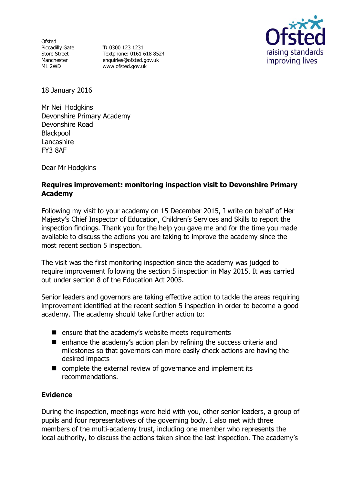Ofsted Piccadilly Gate Store Street Manchester M1 2WD

**T:** 0300 123 1231 Textphone: 0161 618 8524 enquiries@ofsted.gov.uk www.ofsted.gov.uk



18 January 2016

Mr Neil Hodgkins Devonshire Primary Academy Devonshire Road Blackpool **Lancashire** FY3 8AF

Dear Mr Hodgkins

### **Requires improvement: monitoring inspection visit to Devonshire Primary Academy**

Following my visit to your academy on 15 December 2015, I write on behalf of Her Majesty's Chief Inspector of Education, Children's Services and Skills to report the inspection findings. Thank you for the help you gave me and for the time you made available to discuss the actions you are taking to improve the academy since the most recent section 5 inspection.

The visit was the first monitoring inspection since the academy was judged to require improvement following the section 5 inspection in May 2015. It was carried out under section 8 of the Education Act 2005.

Senior leaders and governors are taking effective action to tackle the areas requiring improvement identified at the recent section 5 inspection in order to become a good academy. The academy should take further action to:

- $\blacksquare$  ensure that the academy's website meets requirements
- $\blacksquare$  enhance the academy's action plan by refining the success criteria and milestones so that governors can more easily check actions are having the desired impacts
- complete the external review of governance and implement its recommendations.

#### **Evidence**

During the inspection, meetings were held with you, other senior leaders, a group of pupils and four representatives of the governing body. I also met with three members of the multi-academy trust, including one member who represents the local authority, to discuss the actions taken since the last inspection. The academy's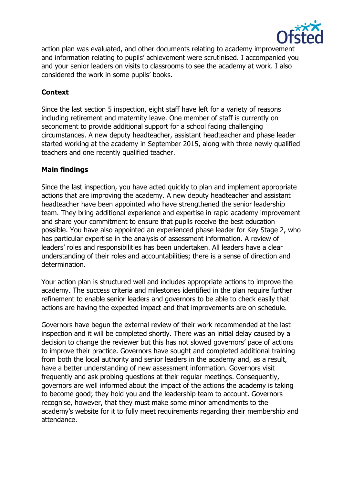

action plan was evaluated, and other documents relating to academy improvement and information relating to pupils' achievement were scrutinised. I accompanied you and your senior leaders on visits to classrooms to see the academy at work. I also considered the work in some pupils' books.

## **Context**

Since the last section 5 inspection, eight staff have left for a variety of reasons including retirement and maternity leave. One member of staff is currently on secondment to provide additional support for a school facing challenging circumstances. A new deputy headteacher, assistant headteacher and phase leader started working at the academy in September 2015, along with three newly qualified teachers and one recently qualified teacher.

# **Main findings**

Since the last inspection, you have acted quickly to plan and implement appropriate actions that are improving the academy. A new deputy headteacher and assistant headteacher have been appointed who have strengthened the senior leadership team. They bring additional experience and expertise in rapid academy improvement and share your commitment to ensure that pupils receive the best education possible. You have also appointed an experienced phase leader for Key Stage 2, who has particular expertise in the analysis of assessment information. A review of leaders' roles and responsibilities has been undertaken. All leaders have a clear understanding of their roles and accountabilities; there is a sense of direction and determination.

Your action plan is structured well and includes appropriate actions to improve the academy. The success criteria and milestones identified in the plan require further refinement to enable senior leaders and governors to be able to check easily that actions are having the expected impact and that improvements are on schedule.

Governors have begun the external review of their work recommended at the last inspection and it will be completed shortly. There was an initial delay caused by a decision to change the reviewer but this has not slowed governors' pace of actions to improve their practice. Governors have sought and completed additional training from both the local authority and senior leaders in the academy and, as a result, have a better understanding of new assessment information. Governors visit frequently and ask probing questions at their regular meetings. Consequently, governors are well informed about the impact of the actions the academy is taking to become good; they hold you and the leadership team to account. Governors recognise, however, that they must make some minor amendments to the academy's website for it to fully meet requirements regarding their membership and attendance.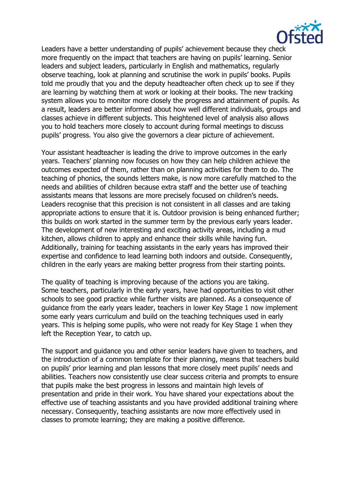

Leaders have a better understanding of pupils' achievement because they check more frequently on the impact that teachers are having on pupils' learning. Senior leaders and subject leaders, particularly in English and mathematics, regularly observe teaching, look at planning and scrutinise the work in pupils' books. Pupils told me proudly that you and the deputy headteacher often check up to see if they are learning by watching them at work or looking at their books. The new tracking system allows you to monitor more closely the progress and attainment of pupils. As a result, leaders are better informed about how well different individuals, groups and classes achieve in different subjects. This heightened level of analysis also allows you to hold teachers more closely to account during formal meetings to discuss pupils' progress. You also give the governors a clear picture of achievement.

Your assistant headteacher is leading the drive to improve outcomes in the early years. Teachers' planning now focuses on how they can help children achieve the outcomes expected of them, rather than on planning activities for them to do. The teaching of phonics, the sounds letters make, is now more carefully matched to the needs and abilities of children because extra staff and the better use of teaching assistants means that lessons are more precisely focused on children's needs. Leaders recognise that this precision is not consistent in all classes and are taking appropriate actions to ensure that it is. Outdoor provision is being enhanced further; this builds on work started in the summer term by the previous early years leader. The development of new interesting and exciting activity areas, including a mud kitchen, allows children to apply and enhance their skills while having fun. Additionally, training for teaching assistants in the early years has improved their expertise and confidence to lead learning both indoors and outside. Consequently, children in the early years are making better progress from their starting points.

The quality of teaching is improving because of the actions you are taking. Some teachers, particularly in the early years, have had opportunities to visit other schools to see good practice while further visits are planned. As a consequence of guidance from the early years leader, teachers in lower Key Stage 1 now implement some early years curriculum and build on the teaching techniques used in early years. This is helping some pupils, who were not ready for Key Stage 1 when they left the Reception Year, to catch up.

The support and guidance you and other senior leaders have given to teachers, and the introduction of a common template for their planning, means that teachers build on pupils' prior learning and plan lessons that more closely meet pupils' needs and abilities. Teachers now consistently use clear success criteria and prompts to ensure that pupils make the best progress in lessons and maintain high levels of presentation and pride in their work. You have shared your expectations about the effective use of teaching assistants and you have provided additional training where necessary. Consequently, teaching assistants are now more effectively used in classes to promote learning; they are making a positive difference.